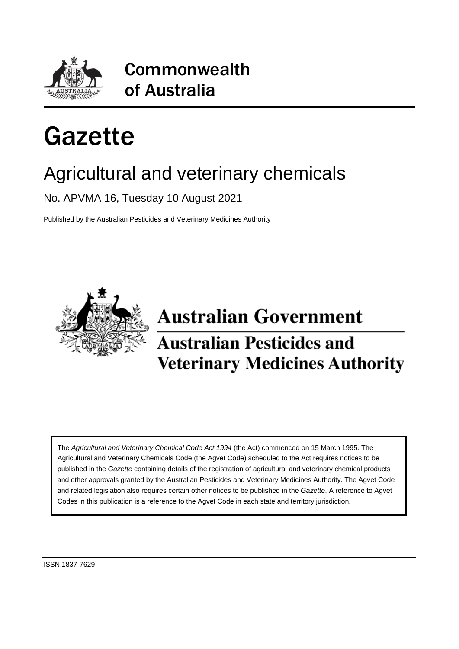

## Commonwealth of Australia

# Gazette

## Agricultural and veterinary chemicals

No. APVMA 16, Tuesday 10 August 2021

Published by the Australian Pesticides and Veterinary Medicines Authority



## **Australian Government Australian Pesticides and Veterinary Medicines Authority**

The *Agricultural and Veterinary Chemical Code Act 1994* (the Act) commenced on 15 March 1995. The Agricultural and Veterinary Chemicals Code (the Agvet Code) scheduled to the Act requires notices to be published in the *Gazette* containing details of the registration of agricultural and veterinary chemical products and other approvals granted by the Australian Pesticides and Veterinary Medicines Authority. The Agvet Code and related legislation also requires certain other notices to be published in the *Gazette*. A reference to Agvet Codes in this publication is a reference to the Agvet Code in each state and territory jurisdiction.

ISSN 1837-7629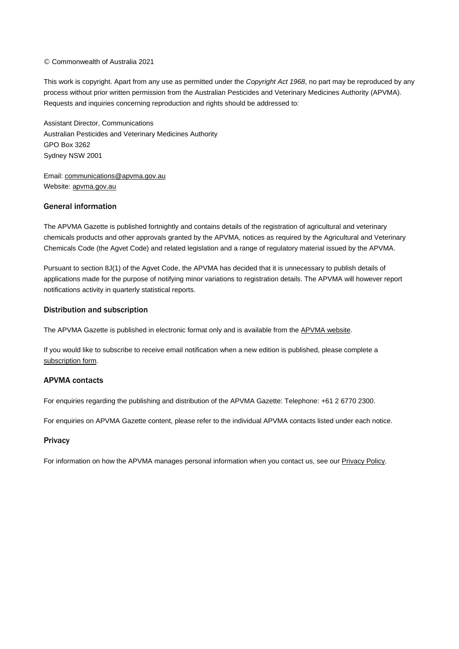#### © Commonwealth of Australia 2021

This work is copyright. Apart from any use as permitted under the *Copyright Act 1968*, no part may be reproduced by any process without prior written permission from the Australian Pesticides and Veterinary Medicines Authority (APVMA). Requests and inquiries concerning reproduction and rights should be addressed to:

Assistant Director, Communications Australian Pesticides and Veterinary Medicines Authority GPO Box 3262 Sydney NSW 2001

Email: [communications@apvma.gov.au](mailto:communications@apvma.gov.au) Website: [apvma.gov.au](http://www.apvma.gov.au/)

## General information

The APVMA Gazette is published fortnightly and contains details of the registration of agricultural and veterinary chemicals products and other approvals granted by the APVMA, notices as required by the Agricultural and Veterinary Chemicals Code (the Agvet Code) and related legislation and a range of regulatory material issued by the APVMA.

Pursuant to section 8J(1) of the Agvet Code, the APVMA has decided that it is unnecessary to publish details of applications made for the purpose of notifying minor variations to registration details. The APVMA will however report notifications activity in quarterly statistical reports.

#### Distribution and subscription

The APVMA Gazette is published in electronic format only and is available from the APVMA [website.](http://www.apvma.gov.au/news-and-publications/publications/gazette)

If you would like to subscribe to receive email notification when a new edition is published, please complete a [subscription](https://apvma.us2.list-manage.com/subscribe?u=f09f7f9ed2a2867a19b99e2e4&id=a025640240) form.

#### APVMA contacts

For enquiries regarding the publishing and distribution of the APVMA Gazette: Telephone: +61 2 6770 2300.

For enquiries on APVMA Gazette content, please refer to the individual APVMA contacts listed under each notice.

#### **Privacy**

For information on how the APVMA manages personal information when you contact us, see our [Privacy](https://apvma.gov.au/node/59876) Policy.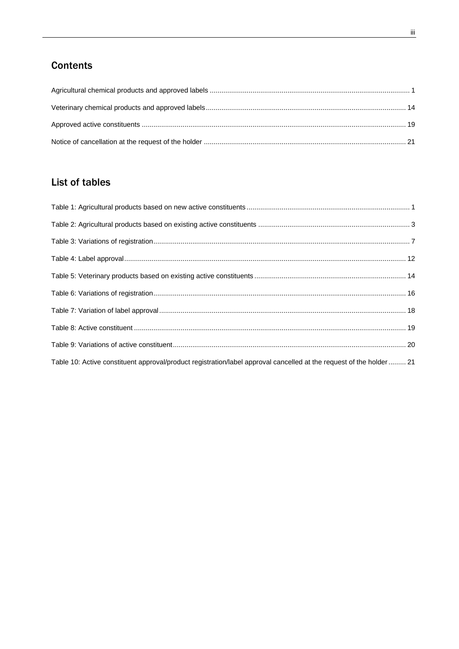## **Contents**

## List of tables

| Table 10: Active constituent approval/product registration/label approval cancelled at the request of the holder  21 |  |
|----------------------------------------------------------------------------------------------------------------------|--|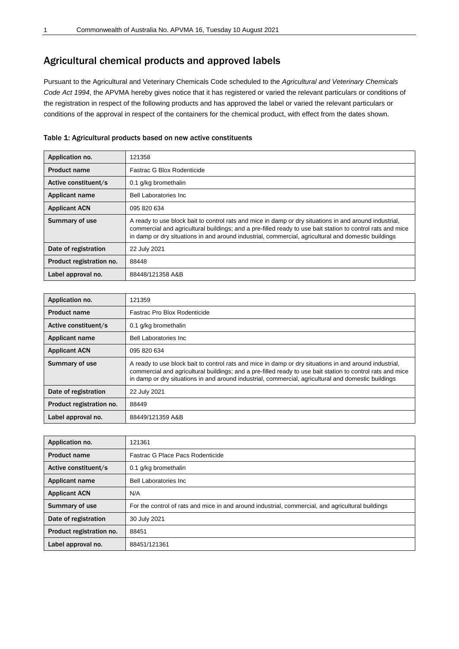## <span id="page-4-0"></span>Agricultural chemical products and approved labels

Pursuant to the Agricultural and Veterinary Chemicals Code scheduled to the *Agricultural and Veterinary Chemicals Code Act 1994*, the APVMA hereby gives notice that it has registered or varied the relevant particulars or conditions of the registration in respect of the following products and has approved the label or varied the relevant particulars or conditions of the approval in respect of the containers for the chemical product, with effect from the dates shown.

<span id="page-4-1"></span>

| Table 1: Agricultural products based on new active constituents |  |  |
|-----------------------------------------------------------------|--|--|
|                                                                 |  |  |

| Application no.          | 121358                                                                                                                                                                                                                                                                                                                      |
|--------------------------|-----------------------------------------------------------------------------------------------------------------------------------------------------------------------------------------------------------------------------------------------------------------------------------------------------------------------------|
| <b>Product name</b>      | Fastrac G Blox Rodenticide                                                                                                                                                                                                                                                                                                  |
| Active constituent/s     | 0.1 g/kg bromethalin                                                                                                                                                                                                                                                                                                        |
| <b>Applicant name</b>    | <b>Bell Laboratories Inc.</b>                                                                                                                                                                                                                                                                                               |
| <b>Applicant ACN</b>     | 095 820 634                                                                                                                                                                                                                                                                                                                 |
| Summary of use           | A ready to use block bait to control rats and mice in damp or dry situations in and around industrial,<br>commercial and agricultural buildings; and a pre-filled ready to use bait station to control rats and mice<br>in damp or dry situations in and around industrial, commercial, agricultural and domestic buildings |
| Date of registration     | 22 July 2021                                                                                                                                                                                                                                                                                                                |
| Product registration no. | 88448                                                                                                                                                                                                                                                                                                                       |
| Label approval no.       | 88448/121358 A&B                                                                                                                                                                                                                                                                                                            |

| Application no.          | 121359                                                                                                                                                                                                                                                                                                                      |
|--------------------------|-----------------------------------------------------------------------------------------------------------------------------------------------------------------------------------------------------------------------------------------------------------------------------------------------------------------------------|
| <b>Product name</b>      | Fastrac Pro Blox Rodenticide                                                                                                                                                                                                                                                                                                |
| Active constituent/s     | 0.1 g/kg bromethalin                                                                                                                                                                                                                                                                                                        |
| Applicant name           | <b>Bell Laboratories Inc.</b>                                                                                                                                                                                                                                                                                               |
| <b>Applicant ACN</b>     | 095 820 634                                                                                                                                                                                                                                                                                                                 |
| Summary of use           | A ready to use block bait to control rats and mice in damp or dry situations in and around industrial,<br>commercial and agricultural buildings; and a pre-filled ready to use bait station to control rats and mice<br>in damp or dry situations in and around industrial, commercial, agricultural and domestic buildings |
| Date of registration     | 22 July 2021                                                                                                                                                                                                                                                                                                                |
| Product registration no. | 88449                                                                                                                                                                                                                                                                                                                       |
| Label approval no.       | 88449/121359 A&B                                                                                                                                                                                                                                                                                                            |

| Application no.          | 121361                                                                                            |
|--------------------------|---------------------------------------------------------------------------------------------------|
| <b>Product name</b>      | Fastrac G Place Pacs Rodenticide                                                                  |
| Active constituent/s     | 0.1 g/kg bromethalin                                                                              |
| Applicant name           | <b>Bell Laboratories Inc.</b>                                                                     |
| <b>Applicant ACN</b>     | N/A                                                                                               |
| Summary of use           | For the control of rats and mice in and around industrial, commercial, and agricultural buildings |
| Date of registration     | 30 July 2021                                                                                      |
| Product registration no. | 88451                                                                                             |
| Label approval no.       | 88451/121361                                                                                      |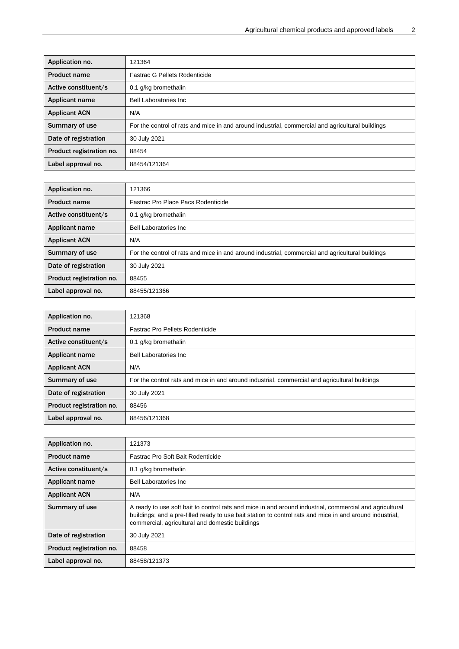| Application no.          | 121364                                                                                           |
|--------------------------|--------------------------------------------------------------------------------------------------|
| <b>Product name</b>      | Fastrac G Pellets Rodenticide                                                                    |
| Active constituent/s     | 0.1 g/kg bromethalin                                                                             |
| <b>Applicant name</b>    | <b>Bell Laboratories Inc.</b>                                                                    |
| <b>Applicant ACN</b>     | N/A                                                                                              |
| Summary of use           | For the control of rats and mice in and around industrial, commercial and agricultural buildings |
| Date of registration     | 30 July 2021                                                                                     |
| Product registration no. | 88454                                                                                            |
| Label approval no.       | 88454/121364                                                                                     |

| Application no.          | 121366                                                                                           |
|--------------------------|--------------------------------------------------------------------------------------------------|
| <b>Product name</b>      | Fastrac Pro Place Pacs Rodenticide                                                               |
| Active constituent/s     | 0.1 g/kg bromethalin                                                                             |
| <b>Applicant name</b>    | <b>Bell Laboratories Inc.</b>                                                                    |
| <b>Applicant ACN</b>     | N/A                                                                                              |
| Summary of use           | For the control of rats and mice in and around industrial, commercial and agricultural buildings |
| Date of registration     | 30 July 2021                                                                                     |
| Product registration no. | 88455                                                                                            |
| Label approval no.       | 88455/121366                                                                                     |

| Application no.          | 121368                                                                                        |
|--------------------------|-----------------------------------------------------------------------------------------------|
| <b>Product name</b>      | Fastrac Pro Pellets Rodenticide                                                               |
| Active constituent/s     | 0.1 g/kg bromethalin                                                                          |
| <b>Applicant name</b>    | <b>Bell Laboratories Inc.</b>                                                                 |
| <b>Applicant ACN</b>     | N/A                                                                                           |
| Summary of use           | For the control rats and mice in and around industrial, commercial and agricultural buildings |
| Date of registration     | 30 July 2021                                                                                  |
| Product registration no. | 88456                                                                                         |
| Label approval no.       | 88456/121368                                                                                  |

| Application no.          | 121373                                                                                                                                                                                                                                                                 |
|--------------------------|------------------------------------------------------------------------------------------------------------------------------------------------------------------------------------------------------------------------------------------------------------------------|
| <b>Product name</b>      | Fastrac Pro Soft Bait Rodenticide                                                                                                                                                                                                                                      |
| Active constituent/s     | 0.1 g/kg bromethalin                                                                                                                                                                                                                                                   |
| <b>Applicant name</b>    | <b>Bell Laboratories Inc.</b>                                                                                                                                                                                                                                          |
| <b>Applicant ACN</b>     | N/A                                                                                                                                                                                                                                                                    |
| Summary of use           | A ready to use soft bait to control rats and mice in and around industrial, commercial and agricultural<br>buildings; and a pre-filled ready to use bait station to control rats and mice in and around industrial,<br>commercial, agricultural and domestic buildings |
| Date of registration     | 30 July 2021                                                                                                                                                                                                                                                           |
| Product registration no. | 88458                                                                                                                                                                                                                                                                  |
| Label approval no.       | 88458/121373                                                                                                                                                                                                                                                           |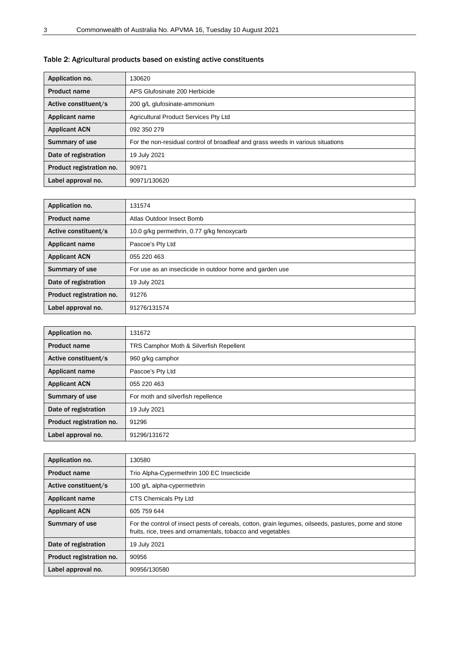| Application no.          | 130620                                                                          |
|--------------------------|---------------------------------------------------------------------------------|
| <b>Product name</b>      | APS Glufosinate 200 Herbicide                                                   |
| Active constituent/s     | 200 g/L glufosinate-ammonium                                                    |
| Applicant name           | Agricultural Product Services Pty Ltd                                           |
| <b>Applicant ACN</b>     | 092 350 279                                                                     |
| Summary of use           | For the non-residual control of broadleaf and grass weeds in various situations |
| Date of registration     | 19 July 2021                                                                    |
| Product registration no. | 90971                                                                           |
| Label approval no.       | 90971/130620                                                                    |

## <span id="page-6-0"></span>Table 2: Agricultural products based on existing active constituents

| Application no.          | 131574                                                   |
|--------------------------|----------------------------------------------------------|
| <b>Product name</b>      | Atlas Outdoor Insect Bomb                                |
| Active constituent/s     | 10.0 g/kg permethrin, 0.77 g/kg fenoxycarb               |
| <b>Applicant name</b>    | Pascoe's Pty Ltd                                         |
| <b>Applicant ACN</b>     | 055 220 463                                              |
| Summary of use           | For use as an insecticide in outdoor home and garden use |
| Date of registration     | 19 July 2021                                             |
| Product registration no. | 91276                                                    |
| Label approval no.       | 91276/131574                                             |

| Application no.          | 131672                                  |
|--------------------------|-----------------------------------------|
| <b>Product name</b>      | TRS Camphor Moth & Silverfish Repellent |
| Active constituent/s     | 960 g/kg camphor                        |
| Applicant name           | Pascoe's Pty Ltd                        |
| <b>Applicant ACN</b>     | 055 220 463                             |
| Summary of use           | For moth and silverfish repellence      |
| Date of registration     | 19 July 2021                            |
| Product registration no. | 91296                                   |
| Label approval no.       | 91296/131672                            |

| Application no.          | 130580                                                                                                                                                               |
|--------------------------|----------------------------------------------------------------------------------------------------------------------------------------------------------------------|
| <b>Product name</b>      | Trio Alpha-Cypermethrin 100 EC Insecticide                                                                                                                           |
| Active constituent/s     | 100 g/L alpha-cypermethrin                                                                                                                                           |
| <b>Applicant name</b>    | CTS Chemicals Pty Ltd                                                                                                                                                |
| <b>Applicant ACN</b>     | 605 759 644                                                                                                                                                          |
| Summary of use           | For the control of insect pests of cereals, cotton, grain legumes, oilseeds, pastures, pome and stone<br>fruits, rice, trees and ornamentals, tobacco and vegetables |
| Date of registration     | 19 July 2021                                                                                                                                                         |
| Product registration no. | 90956                                                                                                                                                                |
| Label approval no.       | 90956/130580                                                                                                                                                         |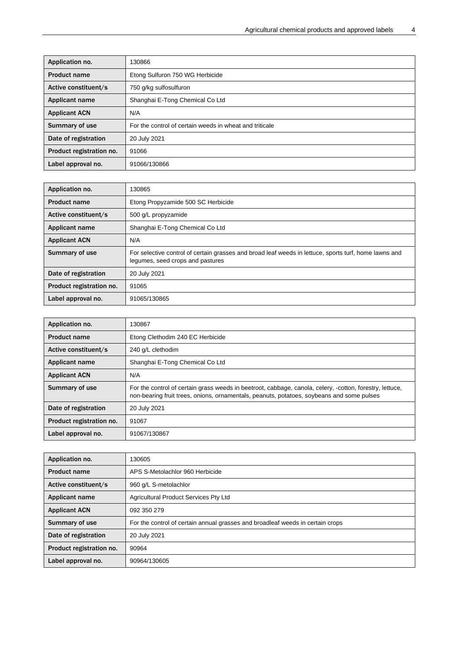| Application no.          | 130866                                                  |
|--------------------------|---------------------------------------------------------|
| <b>Product name</b>      | Etong Sulfuron 750 WG Herbicide                         |
| Active constituent/s     | 750 g/kg sulfosulfuron                                  |
| <b>Applicant name</b>    | Shanghai E-Tong Chemical Co Ltd                         |
| <b>Applicant ACN</b>     | N/A                                                     |
| Summary of use           | For the control of certain weeds in wheat and triticale |
| Date of registration     | 20 July 2021                                            |
| Product registration no. | 91066                                                   |
| Label approval no.       | 91066/130866                                            |

| Application no.          | 130865                                                                                                                                    |
|--------------------------|-------------------------------------------------------------------------------------------------------------------------------------------|
| <b>Product name</b>      | Etong Propyzamide 500 SC Herbicide                                                                                                        |
| Active constituent/s     | 500 g/L propyzamide                                                                                                                       |
| Applicant name           | Shanghai E-Tong Chemical Co Ltd                                                                                                           |
| <b>Applicant ACN</b>     | N/A                                                                                                                                       |
| Summary of use           | For selective control of certain grasses and broad leaf weeds in lettuce, sports turf, home lawns and<br>legumes, seed crops and pastures |
| Date of registration     | 20 July 2021                                                                                                                              |
| Product registration no. | 91065                                                                                                                                     |
| Label approval no.       | 91065/130865                                                                                                                              |

| Application no.          | 130867                                                                                                                                                                                                |
|--------------------------|-------------------------------------------------------------------------------------------------------------------------------------------------------------------------------------------------------|
| <b>Product name</b>      | Etong Clethodim 240 EC Herbicide                                                                                                                                                                      |
| Active constituent/s     | 240 g/L clethodim                                                                                                                                                                                     |
| Applicant name           | Shanghai E-Tong Chemical Co Ltd                                                                                                                                                                       |
| <b>Applicant ACN</b>     | N/A                                                                                                                                                                                                   |
| Summary of use           | For the control of certain grass weeds in beetroot, cabbage, canola, celery, -cotton, forestry, lettuce,<br>non-bearing fruit trees, onions, ornamentals, peanuts, potatoes, soybeans and some pulses |
| Date of registration     | 20 July 2021                                                                                                                                                                                          |
| Product registration no. | 91067                                                                                                                                                                                                 |
| Label approval no.       | 91067/130867                                                                                                                                                                                          |

| Application no.          | 130605                                                                         |
|--------------------------|--------------------------------------------------------------------------------|
| <b>Product name</b>      | APS S-Metolachlor 960 Herbicide                                                |
| Active constituent/s     | 960 g/L S-metolachlor                                                          |
| Applicant name           | Agricultural Product Services Pty Ltd                                          |
| <b>Applicant ACN</b>     | 092 350 279                                                                    |
| Summary of use           | For the control of certain annual grasses and broadleaf weeds in certain crops |
| Date of registration     | 20 July 2021                                                                   |
| Product registration no. | 90964                                                                          |
| Label approval no.       | 90964/130605                                                                   |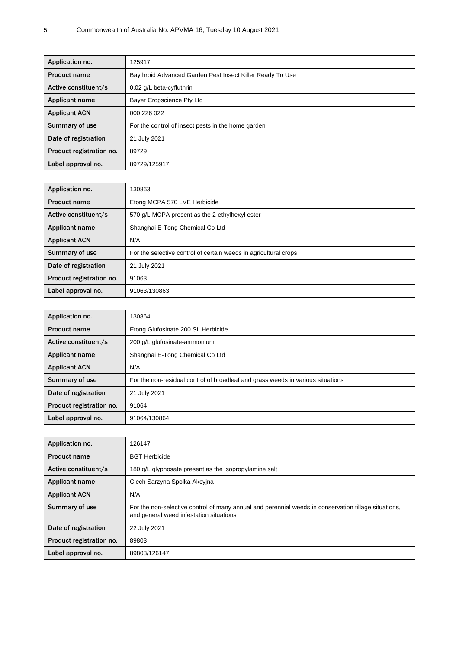| Application no.          | 125917                                                    |
|--------------------------|-----------------------------------------------------------|
| <b>Product name</b>      | Baythroid Advanced Garden Pest Insect Killer Ready To Use |
| Active constituent/s     | 0.02 g/L beta-cyfluthrin                                  |
| <b>Applicant name</b>    | Bayer Cropscience Pty Ltd                                 |
| <b>Applicant ACN</b>     | 000 226 022                                               |
| Summary of use           | For the control of insect pests in the home garden        |
| Date of registration     | 21 July 2021                                              |
| Product registration no. | 89729                                                     |
| Label approval no.       | 89729/125917                                              |

| Application no.          | 130863                                                           |
|--------------------------|------------------------------------------------------------------|
| <b>Product name</b>      | Etong MCPA 570 LVE Herbicide                                     |
| Active constituent/s     | 570 g/L MCPA present as the 2-ethylhexyl ester                   |
| Applicant name           | Shanghai E-Tong Chemical Co Ltd                                  |
| <b>Applicant ACN</b>     | N/A                                                              |
| Summary of use           | For the selective control of certain weeds in agricultural crops |
| Date of registration     | 21 July 2021                                                     |
| Product registration no. | 91063                                                            |
| Label approval no.       | 91063/130863                                                     |

| Application no.          | 130864                                                                          |
|--------------------------|---------------------------------------------------------------------------------|
| <b>Product name</b>      | Etong Glufosinate 200 SL Herbicide                                              |
| Active constituent/s     | 200 g/L glufosinate-ammonium                                                    |
| Applicant name           | Shanghai E-Tong Chemical Co Ltd                                                 |
| <b>Applicant ACN</b>     | N/A                                                                             |
| Summary of use           | For the non-residual control of broadleaf and grass weeds in various situations |
| Date of registration     | 21 July 2021                                                                    |
| Product registration no. | 91064                                                                           |
| Label approval no.       | 91064/130864                                                                    |

| Application no.          | 126147                                                                                                                                          |
|--------------------------|-------------------------------------------------------------------------------------------------------------------------------------------------|
| <b>Product name</b>      | <b>BGT Herbicide</b>                                                                                                                            |
| Active constituent/s     | 180 g/L glyphosate present as the isopropylamine salt                                                                                           |
| <b>Applicant name</b>    | Ciech Sarzyna Spolka Akcyjna                                                                                                                    |
| <b>Applicant ACN</b>     | N/A                                                                                                                                             |
| Summary of use           | For the non-selective control of many annual and perennial weeds in conservation tillage situations,<br>and general weed infestation situations |
| Date of registration     | 22 July 2021                                                                                                                                    |
| Product registration no. | 89803                                                                                                                                           |
| Label approval no.       | 89803/126147                                                                                                                                    |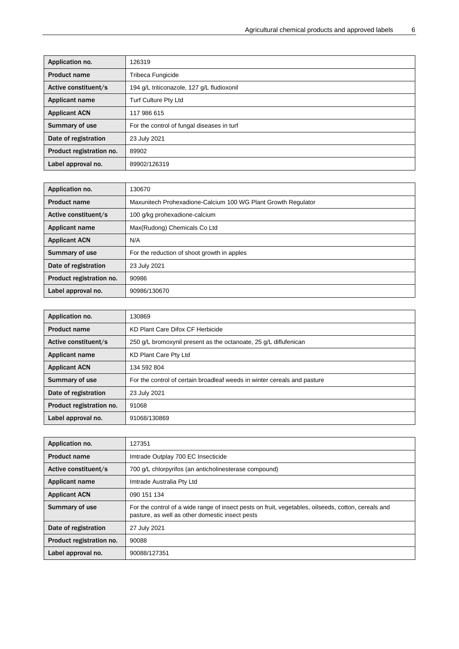| Application no.          | 126319                                     |
|--------------------------|--------------------------------------------|
| <b>Product name</b>      | Tribeca Fungicide                          |
| Active constituent/s     | 194 g/L triticonazole, 127 g/L fludioxonil |
| Applicant name           | <b>Turf Culture Pty Ltd</b>                |
| <b>Applicant ACN</b>     | 117 986 615                                |
| Summary of use           | For the control of fungal diseases in turf |
| Date of registration     | 23 July 2021                               |
| Product registration no. | 89902                                      |
| Label approval no.       | 89902/126319                               |

| Application no.          | 130670                                                        |
|--------------------------|---------------------------------------------------------------|
| <b>Product name</b>      | Maxunitech Prohexadione-Calcium 100 WG Plant Growth Regulator |
| Active constituent/s     | 100 g/kg prohexadione-calcium                                 |
| <b>Applicant name</b>    | Max(Rudong) Chemicals Co Ltd                                  |
| <b>Applicant ACN</b>     | N/A                                                           |
| Summary of use           | For the reduction of shoot growth in apples                   |
| Date of registration     | 23 July 2021                                                  |
| Product registration no. | 90986                                                         |
| Label approval no.       | 90986/130670                                                  |

| Application no.          | 130869                                                                   |
|--------------------------|--------------------------------------------------------------------------|
| <b>Product name</b>      | KD Plant Care Difox CF Herbicide                                         |
| Active constituent/s     | 250 g/L bromoxynil present as the octanoate, 25 g/L diflufenican         |
| Applicant name           | KD Plant Care Pty Ltd                                                    |
| <b>Applicant ACN</b>     | 134 592 804                                                              |
| Summary of use           | For the control of certain broadleaf weeds in winter cereals and pasture |
| Date of registration     | 23 July 2021                                                             |
| Product registration no. | 91068                                                                    |
| Label approval no.       | 91068/130869                                                             |

| Application no.          | 127351                                                                                                                                                 |
|--------------------------|--------------------------------------------------------------------------------------------------------------------------------------------------------|
| <b>Product name</b>      | Imtrade Outplay 700 EC Insecticide                                                                                                                     |
| Active constituent/s     | 700 g/L chlorpyrifos (an anticholinesterase compound)                                                                                                  |
| <b>Applicant name</b>    | Imtrade Australia Pty Ltd                                                                                                                              |
| <b>Applicant ACN</b>     | 090 151 134                                                                                                                                            |
| Summary of use           | For the control of a wide range of insect pests on fruit, vegetables, oilseeds, cotton, cereals and<br>pasture, as well as other domestic insect pests |
| Date of registration     | 27 July 2021                                                                                                                                           |
| Product registration no. | 90088                                                                                                                                                  |
| Label approval no.       | 90088/127351                                                                                                                                           |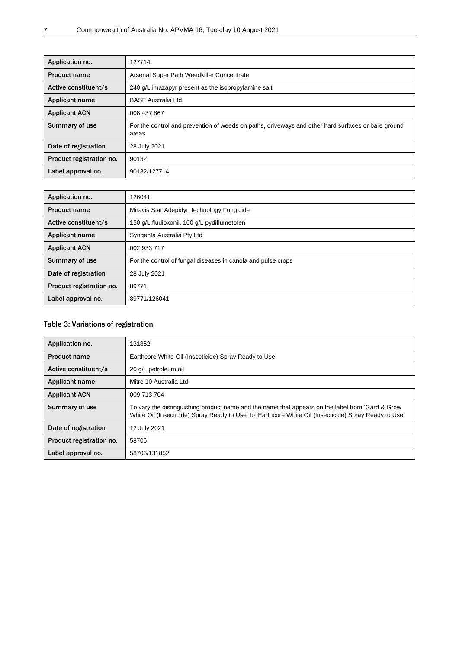| Application no.          | 127714                                                                                                      |
|--------------------------|-------------------------------------------------------------------------------------------------------------|
| <b>Product name</b>      | Arsenal Super Path Weedkiller Concentrate                                                                   |
| Active constituent/s     | 240 g/L imazapyr present as the isopropylamine salt                                                         |
| <b>Applicant name</b>    | <b>BASF Australia Ltd.</b>                                                                                  |
| <b>Applicant ACN</b>     | 008 437 867                                                                                                 |
| Summary of use           | For the control and prevention of weeds on paths, driveways and other hard surfaces or bare ground<br>areas |
| Date of registration     | 28 July 2021                                                                                                |
| Product registration no. | 90132                                                                                                       |
| Label approval no.       | 90132/127714                                                                                                |

| Application no.          | 126041                                                       |
|--------------------------|--------------------------------------------------------------|
| <b>Product name</b>      | Miravis Star Adepidyn technology Fungicide                   |
| Active constituent/s     | 150 g/L fludioxonil, 100 g/L pydiflumetofen                  |
| <b>Applicant name</b>    | Syngenta Australia Pty Ltd                                   |
| <b>Applicant ACN</b>     | 002 933 717                                                  |
| Summary of use           | For the control of fungal diseases in canola and pulse crops |
| Date of registration     | 28 July 2021                                                 |
| Product registration no. | 89771                                                        |
| Label approval no.       | 89771/126041                                                 |

## <span id="page-10-0"></span>Table 3: Variations of registration

| Application no.          | 131852                                                                                                                                                                                                    |
|--------------------------|-----------------------------------------------------------------------------------------------------------------------------------------------------------------------------------------------------------|
| <b>Product name</b>      | Earthcore White Oil (Insecticide) Spray Ready to Use                                                                                                                                                      |
| Active constituent/s     | 20 g/L petroleum oil                                                                                                                                                                                      |
| Applicant name           | Mitre 10 Australia I td                                                                                                                                                                                   |
| <b>Applicant ACN</b>     | 009 713 704                                                                                                                                                                                               |
| Summary of use           | To vary the distinguishing product name and the name that appears on the label from 'Gard & Grow<br>White Oil (Insecticide) Spray Ready to Use' to 'Earthcore White Oil (Insecticide) Spray Ready to Use' |
| Date of registration     | 12 July 2021                                                                                                                                                                                              |
| Product registration no. | 58706                                                                                                                                                                                                     |
| Label approval no.       | 58706/131852                                                                                                                                                                                              |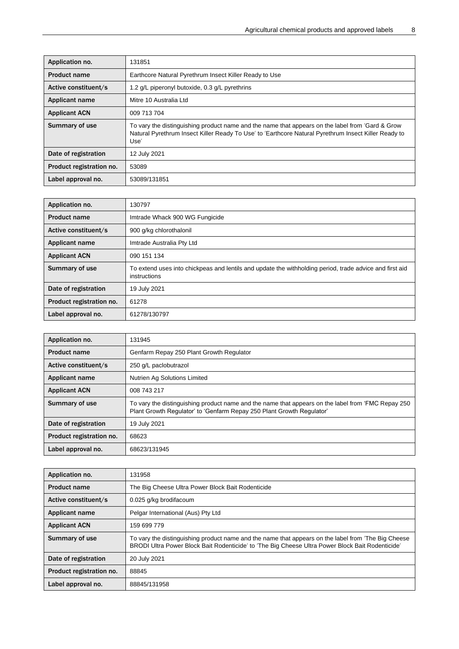| Application no.          | 131851                                                                                                                                                                                                           |
|--------------------------|------------------------------------------------------------------------------------------------------------------------------------------------------------------------------------------------------------------|
| <b>Product name</b>      | Earthcore Natural Pyrethrum Insect Killer Ready to Use                                                                                                                                                           |
| Active constituent/s     | 1.2 g/L piperonyl butoxide, 0.3 g/L pyrethrins                                                                                                                                                                   |
| Applicant name           | Mitre 10 Australia Ltd                                                                                                                                                                                           |
| <b>Applicant ACN</b>     | 009 713 704                                                                                                                                                                                                      |
| <b>Summary of use</b>    | To vary the distinguishing product name and the name that appears on the label from 'Gard & Grow<br>Natural Pyrethrum Insect Killer Ready To Use' to 'Earthcore Natural Pyrethrum Insect Killer Ready to<br>Use' |
| Date of registration     | 12 July 2021                                                                                                                                                                                                     |
| Product registration no. | 53089                                                                                                                                                                                                            |
| Label approval no.       | 53089/131851                                                                                                                                                                                                     |

| Application no.          | 130797                                                                                                                  |
|--------------------------|-------------------------------------------------------------------------------------------------------------------------|
| <b>Product name</b>      | Imtrade Whack 900 WG Fungicide                                                                                          |
| Active constituent/s     | 900 g/kg chlorothalonil                                                                                                 |
| Applicant name           | Imtrade Australia Pty Ltd                                                                                               |
| <b>Applicant ACN</b>     | 090 151 134                                                                                                             |
| Summary of use           | To extend uses into chickpeas and lentils and update the withholding period, trade advice and first aid<br>instructions |
| Date of registration     | 19 July 2021                                                                                                            |
| Product registration no. | 61278                                                                                                                   |
| Label approval no.       | 61278/130797                                                                                                            |

| Application no.          | 131945                                                                                                                                                                      |
|--------------------------|-----------------------------------------------------------------------------------------------------------------------------------------------------------------------------|
| <b>Product name</b>      | Genfarm Repay 250 Plant Growth Regulator                                                                                                                                    |
| Active constituent/s     | 250 g/L paclobutrazol                                                                                                                                                       |
| Applicant name           | Nutrien Ag Solutions Limited                                                                                                                                                |
| <b>Applicant ACN</b>     | 008 743 217                                                                                                                                                                 |
| Summary of use           | To vary the distinguishing product name and the name that appears on the label from 'FMC Repay 250<br>Plant Growth Regulator' to 'Genfarm Repay 250 Plant Growth Regulator' |
| Date of registration     | 19 July 2021                                                                                                                                                                |
| Product registration no. | 68623                                                                                                                                                                       |
| Label approval no.       | 68623/131945                                                                                                                                                                |

| Application no.          | 131958                                                                                                                                                                                                  |
|--------------------------|---------------------------------------------------------------------------------------------------------------------------------------------------------------------------------------------------------|
| <b>Product name</b>      | The Big Cheese Ultra Power Block Bait Rodenticide                                                                                                                                                       |
| Active constituent/s     | 0.025 g/kg brodifacoum                                                                                                                                                                                  |
| Applicant name           | Pelgar International (Aus) Pty Ltd                                                                                                                                                                      |
| <b>Applicant ACN</b>     | 159 699 779                                                                                                                                                                                             |
| Summary of use           | To vary the distinguishing product name and the name that appears on the label from 'The Big Cheese<br>BRODI Ultra Power Block Bait Rodenticide' to 'The Big Cheese Ultra Power Block Bait Rodenticide' |
| Date of registration     | 20 July 2021                                                                                                                                                                                            |
| Product registration no. | 88845                                                                                                                                                                                                   |
| Label approval no.       | 88845/131958                                                                                                                                                                                            |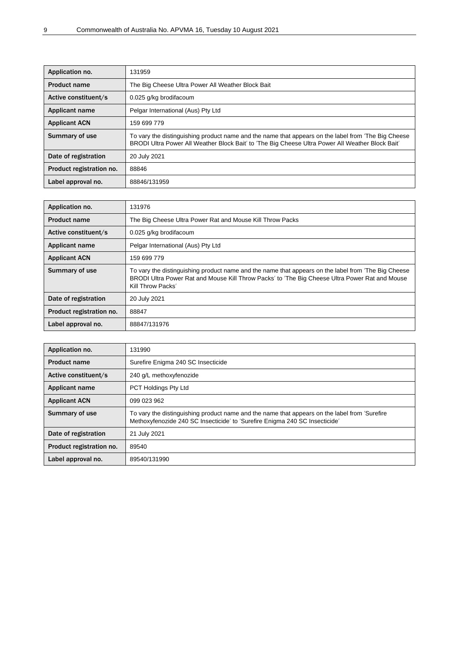| Application no.          | 131959                                                                                                                                                                                                  |
|--------------------------|---------------------------------------------------------------------------------------------------------------------------------------------------------------------------------------------------------|
| <b>Product name</b>      | The Big Cheese Ultra Power All Weather Block Bait                                                                                                                                                       |
| Active constituent/s     | 0.025 g/kg brodifacoum                                                                                                                                                                                  |
| Applicant name           | Pelgar International (Aus) Pty Ltd                                                                                                                                                                      |
| <b>Applicant ACN</b>     | 159 699 779                                                                                                                                                                                             |
| Summary of use           | To vary the distinguishing product name and the name that appears on the label from 'The Big Cheese<br>BRODI Ultra Power All Weather Block Bait' to 'The Big Cheese Ultra Power All Weather Block Bait' |
| Date of registration     | 20 July 2021                                                                                                                                                                                            |
| Product registration no. | 88846                                                                                                                                                                                                   |
| Label approval no.       | 88846/131959                                                                                                                                                                                            |

| Application no.          | 131976                                                                                                                                                                                                                     |
|--------------------------|----------------------------------------------------------------------------------------------------------------------------------------------------------------------------------------------------------------------------|
| <b>Product name</b>      | The Big Cheese Ultra Power Rat and Mouse Kill Throw Packs                                                                                                                                                                  |
| Active constituent/s     | 0.025 g/kg brodifacoum                                                                                                                                                                                                     |
| <b>Applicant name</b>    | Pelgar International (Aus) Pty Ltd                                                                                                                                                                                         |
| <b>Applicant ACN</b>     | 159 699 779                                                                                                                                                                                                                |
| Summary of use           | To vary the distinguishing product name and the name that appears on the label from 'The Big Cheese<br>BRODI Ultra Power Rat and Mouse Kill Throw Packs' to 'The Big Cheese Ultra Power Rat and Mouse<br>Kill Throw Packs' |
| Date of registration     | 20 July 2021                                                                                                                                                                                                               |
| Product registration no. | 88847                                                                                                                                                                                                                      |
| Label approval no.       | 88847/131976                                                                                                                                                                                                               |

| Application no.          | 131990                                                                                                                                                                       |
|--------------------------|------------------------------------------------------------------------------------------------------------------------------------------------------------------------------|
| <b>Product name</b>      | Surefire Enigma 240 SC Insecticide                                                                                                                                           |
| Active constituent/s     | 240 g/L methoxyfenozide                                                                                                                                                      |
| <b>Applicant name</b>    | PCT Holdings Pty Ltd                                                                                                                                                         |
| <b>Applicant ACN</b>     | 099 023 962                                                                                                                                                                  |
| Summary of use           | To vary the distinguishing product name and the name that appears on the label from 'Surefire<br>Methoxyfenozide 240 SC Insecticide' to 'Surefire Enigma 240 SC Insecticide' |
| Date of registration     | 21 July 2021                                                                                                                                                                 |
| Product registration no. | 89540                                                                                                                                                                        |
| Label approval no.       | 89540/131990                                                                                                                                                                 |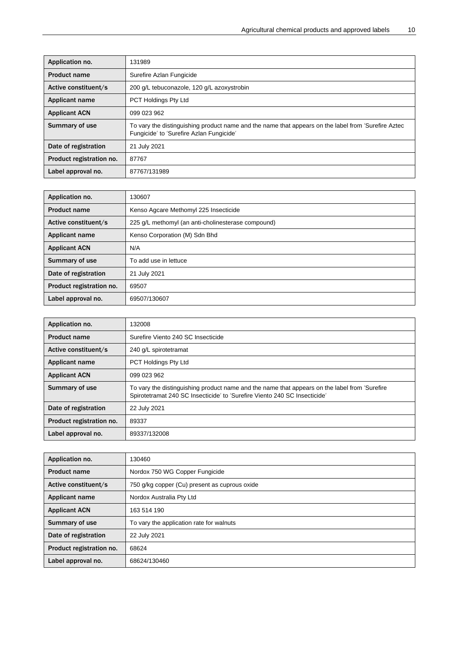| Application no.          | 131989                                                                                                                                          |
|--------------------------|-------------------------------------------------------------------------------------------------------------------------------------------------|
| <b>Product name</b>      | Surefire Azlan Fungicide                                                                                                                        |
| Active constituent/s     | 200 g/L tebuconazole, 120 g/L azoxystrobin                                                                                                      |
| Applicant name           | <b>PCT Holdings Pty Ltd</b>                                                                                                                     |
| <b>Applicant ACN</b>     | 099 023 962                                                                                                                                     |
| Summary of use           | To vary the distinguishing product name and the name that appears on the label from 'Surefire Aztec<br>Fungicide' to 'Surefire Azlan Fungicide' |
| Date of registration     | 21 July 2021                                                                                                                                    |
| Product registration no. | 87767                                                                                                                                           |
| Label approval no.       | 87767/131989                                                                                                                                    |

| Application no.          | 130607                                             |
|--------------------------|----------------------------------------------------|
| <b>Product name</b>      | Kenso Agcare Methomyl 225 Insecticide              |
| Active constituent/s     | 225 g/L methomyl (an anti-cholinesterase compound) |
| Applicant name           | Kenso Corporation (M) Sdn Bhd                      |
| <b>Applicant ACN</b>     | N/A                                                |
| Summary of use           | To add use in lettuce                              |
| Date of registration     | 21 July 2021                                       |
| Product registration no. | 69507                                              |
| Label approval no.       | 69507/130607                                       |

| Application no.          | 132008                                                                                                                                                                     |
|--------------------------|----------------------------------------------------------------------------------------------------------------------------------------------------------------------------|
| <b>Product name</b>      | Surefire Viento 240 SC Insecticide                                                                                                                                         |
| Active constituent/s     | 240 g/L spirotetramat                                                                                                                                                      |
| <b>Applicant name</b>    | PCT Holdings Pty Ltd                                                                                                                                                       |
| <b>Applicant ACN</b>     | 099 023 962                                                                                                                                                                |
| Summary of use           | To vary the distinguishing product name and the name that appears on the label from 'Surefire<br>Spirotetramat 240 SC Insecticide' to 'Surefire Viento 240 SC Insecticide' |
| Date of registration     | 22 July 2021                                                                                                                                                               |
| Product registration no. | 89337                                                                                                                                                                      |
| Label approval no.       | 89337/132008                                                                                                                                                               |

| Application no.          | 130460                                        |
|--------------------------|-----------------------------------------------|
| <b>Product name</b>      | Nordox 750 WG Copper Fungicide                |
| Active constituent/s     | 750 g/kg copper (Cu) present as cuprous oxide |
| Applicant name           | Nordox Australia Pty Ltd                      |
| <b>Applicant ACN</b>     | 163 514 190                                   |
| Summary of use           | To vary the application rate for walnuts      |
| Date of registration     | 22 July 2021                                  |
| Product registration no. | 68624                                         |
| Label approval no.       | 68624/130460                                  |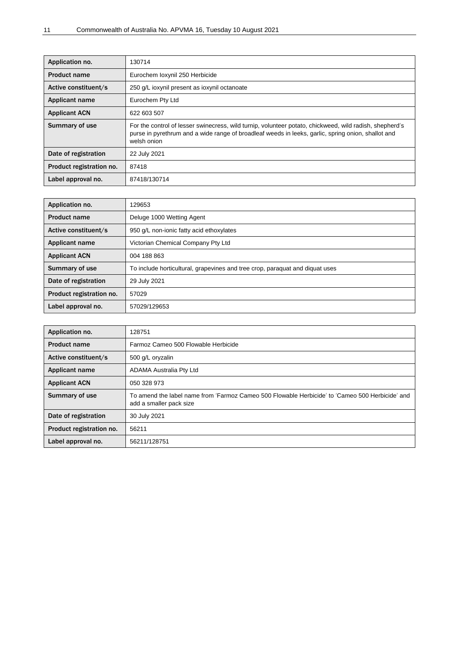| Application no.          | 130714                                                                                                                                                                                                                       |
|--------------------------|------------------------------------------------------------------------------------------------------------------------------------------------------------------------------------------------------------------------------|
| <b>Product name</b>      | Eurochem loxynil 250 Herbicide                                                                                                                                                                                               |
| Active constituent/s     | 250 g/L ioxynil present as ioxynil octanoate                                                                                                                                                                                 |
| <b>Applicant name</b>    | Eurochem Pty Ltd                                                                                                                                                                                                             |
| <b>Applicant ACN</b>     | 622 603 507                                                                                                                                                                                                                  |
| Summary of use           | For the control of lesser swinecress, wild turnip, volunteer potato, chickweed, wild radish, shepherd's<br>purse in pyrethrum and a wide range of broadleaf weeds in leeks, garlic, spring onion, shallot and<br>welsh onion |
| Date of registration     | 22 July 2021                                                                                                                                                                                                                 |
| Product registration no. | 87418                                                                                                                                                                                                                        |
| Label approval no.       | 87418/130714                                                                                                                                                                                                                 |

| Application no.          | 129653                                                                       |
|--------------------------|------------------------------------------------------------------------------|
| <b>Product name</b>      | Deluge 1000 Wetting Agent                                                    |
| Active constituent/s     | 950 q/L non-ionic fatty acid ethoxylates                                     |
| Applicant name           | Victorian Chemical Company Pty Ltd                                           |
| <b>Applicant ACN</b>     | 004 188 863                                                                  |
| Summary of use           | To include horticultural, grapevines and tree crop, paraquat and diquat uses |
| Date of registration     | 29 July 2021                                                                 |
| Product registration no. | 57029                                                                        |
| Label approval no.       | 57029/129653                                                                 |

| Application no.          | 128751                                                                                                                     |
|--------------------------|----------------------------------------------------------------------------------------------------------------------------|
| <b>Product name</b>      | Farmoz Cameo 500 Flowable Herbicide                                                                                        |
| Active constituent/s     | 500 g/L oryzalin                                                                                                           |
| Applicant name           | <b>ADAMA Australia Pty Ltd</b>                                                                                             |
| <b>Applicant ACN</b>     | 050 328 973                                                                                                                |
| Summary of use           | To amend the label name from 'Farmoz Cameo 500 Flowable Herbicide' to 'Cameo 500 Herbicide' and<br>add a smaller pack size |
| Date of registration     | 30 July 2021                                                                                                               |
| Product registration no. | 56211                                                                                                                      |
| Label approval no.       | 56211/128751                                                                                                               |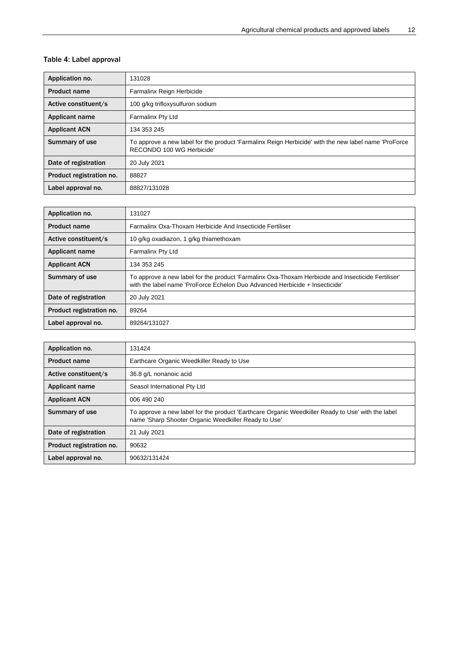## <span id="page-15-0"></span>Table 4: Label approval

| Application no.          | 131028                                                                                                                            |
|--------------------------|-----------------------------------------------------------------------------------------------------------------------------------|
| <b>Product name</b>      | Farmalinx Reign Herbicide                                                                                                         |
| Active constituent/s     | 100 g/kg trifloxysulfuron sodium                                                                                                  |
| Applicant name           | <b>Farmalinx Pty Ltd</b>                                                                                                          |
| <b>Applicant ACN</b>     | 134 353 245                                                                                                                       |
| <b>Summary of use</b>    | To approve a new label for the product 'Farmalinx Reign Herbicide' with the new label name 'ProForce<br>RECONDO 100 WG Herbicide' |
| Date of registration     | 20 July 2021                                                                                                                      |
| Product registration no. | 88827                                                                                                                             |
| Label approval no.       | 88827/131028                                                                                                                      |

| Application no.          | 131027                                                                                                                                                                            |
|--------------------------|-----------------------------------------------------------------------------------------------------------------------------------------------------------------------------------|
| <b>Product name</b>      | Farmalinx Oxa-Thoxam Herbicide And Insecticide Fertiliser                                                                                                                         |
| Active constituent/s     | 10 g/kg oxadiazon, 1 g/kg thiamethoxam                                                                                                                                            |
| <b>Applicant name</b>    | <b>Farmalinx Pty Ltd</b>                                                                                                                                                          |
| <b>Applicant ACN</b>     | 134 353 245                                                                                                                                                                       |
| Summary of use           | To approve a new label for the product 'Farmalinx Oxa-Thoxam Herbicide and Insecticide Fertiliser'<br>with the label name 'ProForce Echelon Duo Advanced Herbicide + Insecticide' |
| Date of registration     | 20 July 2021                                                                                                                                                                      |
| Product registration no. | 89264                                                                                                                                                                             |
| Label approval no.       | 89264/131027                                                                                                                                                                      |

| Application no.          | 131424                                                                                                                                                    |
|--------------------------|-----------------------------------------------------------------------------------------------------------------------------------------------------------|
| <b>Product name</b>      | Earthcare Organic Weedkiller Ready to Use                                                                                                                 |
| Active constituent/s     | 36.8 g/L nonanoic acid                                                                                                                                    |
| Applicant name           | Seasol International Pty Ltd                                                                                                                              |
| <b>Applicant ACN</b>     | 006 490 240                                                                                                                                               |
| Summary of use           | To approve a new label for the product 'Earthcare Organic Weedkiller Ready to Use' with the label<br>name 'Sharp Shooter Organic Weedkiller Ready to Use' |
| Date of registration     | 21 July 2021                                                                                                                                              |
| Product registration no. | 90632                                                                                                                                                     |
| Label approval no.       | 90632/131424                                                                                                                                              |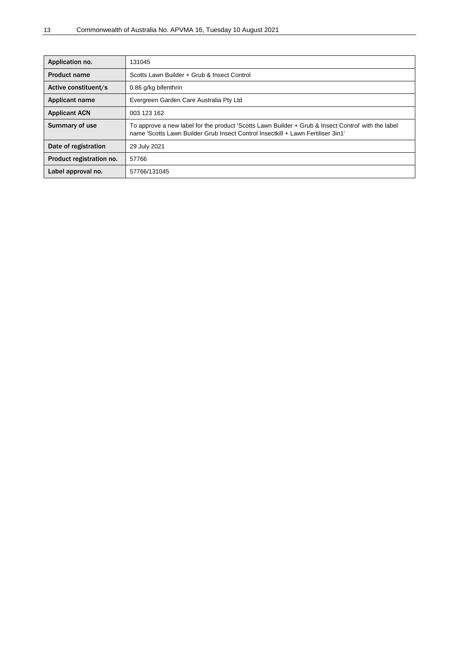| Application no.          | 131045                                                                                                                                                                                  |
|--------------------------|-----------------------------------------------------------------------------------------------------------------------------------------------------------------------------------------|
| <b>Product name</b>      | Scotts Lawn Builder + Grub & Insect Control                                                                                                                                             |
| Active constituent/s     | 0.86 g/kg bifenthrin                                                                                                                                                                    |
| <b>Applicant name</b>    | Evergreen Garden Care Australia Pty Ltd                                                                                                                                                 |
| <b>Applicant ACN</b>     | 003 123 162                                                                                                                                                                             |
| Summary of use           | To approve a new label for the product 'Scotts Lawn Builder + Grub & Insect Control' with the label<br>name 'Scotts Lawn Builder Grub Insect Control Insectkill + Lawn Fertiliser 3in1' |
| Date of registration     | 29 July 2021                                                                                                                                                                            |
| Product registration no. | 57766                                                                                                                                                                                   |
| Label approval no.       | 57766/131045                                                                                                                                                                            |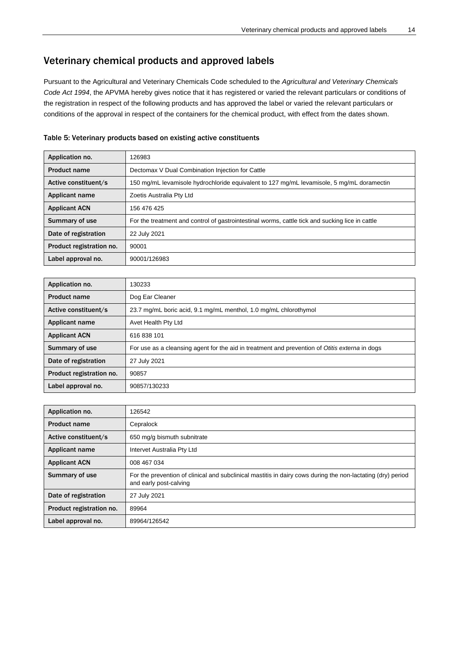## <span id="page-17-0"></span>Veterinary chemical products and approved labels

Pursuant to the Agricultural and Veterinary Chemicals Code scheduled to the *Agricultural and Veterinary Chemicals Code Act 1994*, the APVMA hereby gives notice that it has registered or varied the relevant particulars or conditions of the registration in respect of the following products and has approved the label or varied the relevant particulars or conditions of the approval in respect of the containers for the chemical product, with effect from the dates shown.

#### <span id="page-17-1"></span>Table 5: Veterinary products based on existing active constituents

| Application no.          | 126983                                                                                          |
|--------------------------|-------------------------------------------------------------------------------------------------|
| <b>Product name</b>      | Dectomax V Dual Combination Injection for Cattle                                                |
| Active constituent/s     | 150 mg/mL levamisole hydrochloride equivalent to 127 mg/mL levamisole, 5 mg/mL doramectin       |
| <b>Applicant name</b>    | Zoetis Australia Pty Ltd                                                                        |
| <b>Applicant ACN</b>     | 156 476 425                                                                                     |
| Summary of use           | For the treatment and control of gastrointestinal worms, cattle tick and sucking lice in cattle |
| Date of registration     | 22 July 2021                                                                                    |
| Product registration no. | 90001                                                                                           |
| Label approval no.       | 90001/126983                                                                                    |

| Application no.          | 130233                                                                                         |
|--------------------------|------------------------------------------------------------------------------------------------|
| <b>Product name</b>      | Dog Ear Cleaner                                                                                |
| Active constituent/s     | 23.7 mg/mL boric acid, 9.1 mg/mL menthol, 1.0 mg/mL chlorothymol                               |
| <b>Applicant name</b>    | Avet Health Pty Ltd                                                                            |
| <b>Applicant ACN</b>     | 616 838 101                                                                                    |
| Summary of use           | For use as a cleansing agent for the aid in treatment and prevention of Otitis externa in dogs |
| Date of registration     | 27 July 2021                                                                                   |
| Product registration no. | 90857                                                                                          |
| Label approval no.       | 90857/130233                                                                                   |

| Application no.          | 126542                                                                                                                                |
|--------------------------|---------------------------------------------------------------------------------------------------------------------------------------|
| <b>Product name</b>      | Cepralock                                                                                                                             |
| Active constituent/s     | 650 mg/g bismuth subnitrate                                                                                                           |
| Applicant name           | Intervet Australia Pty Ltd                                                                                                            |
| <b>Applicant ACN</b>     | 008 467 034                                                                                                                           |
| Summary of use           | For the prevention of clinical and subclinical mastitis in dairy cows during the non-lactating (dry) period<br>and early post-calving |
| Date of registration     | 27 July 2021                                                                                                                          |
| Product registration no. | 89964                                                                                                                                 |
| Label approval no.       | 89964/126542                                                                                                                          |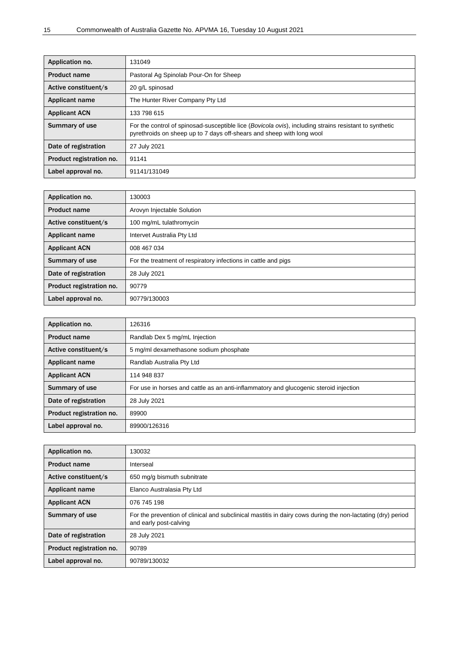| Application no.          | 131049                                                                                                                                                                                   |
|--------------------------|------------------------------------------------------------------------------------------------------------------------------------------------------------------------------------------|
| <b>Product name</b>      | Pastoral Ag Spinolab Pour-On for Sheep                                                                                                                                                   |
| Active constituent/s     | 20 g/L spinosad                                                                                                                                                                          |
| <b>Applicant name</b>    | The Hunter River Company Pty Ltd                                                                                                                                                         |
| <b>Applicant ACN</b>     | 133 798 615                                                                                                                                                                              |
| <b>Summary of use</b>    | For the control of spinosad-susceptible lice ( <i>Bovicola ovis</i> ), including strains resistant to synthetic<br>pyrethroids on sheep up to 7 days off-shears and sheep with long wool |
| Date of registration     | 27 July 2021                                                                                                                                                                             |
| Product registration no. | 91141                                                                                                                                                                                    |
| Label approval no.       | 91141/131049                                                                                                                                                                             |

| Application no.          | 130003                                                         |
|--------------------------|----------------------------------------------------------------|
| <b>Product name</b>      | Arovyn Injectable Solution                                     |
| Active constituent/s     | 100 mg/mL tulathromycin                                        |
| <b>Applicant name</b>    | Intervet Australia Pty Ltd                                     |
| <b>Applicant ACN</b>     | 008 467 034                                                    |
| Summary of use           | For the treatment of respiratory infections in cattle and pigs |
| Date of registration     | 28 July 2021                                                   |
| Product registration no. | 90779                                                          |
| Label approval no.       | 90779/130003                                                   |

| Application no.          | 126316                                                                                |
|--------------------------|---------------------------------------------------------------------------------------|
| <b>Product name</b>      | Randlab Dex 5 mg/mL Injection                                                         |
| Active constituent/s     | 5 mg/ml dexamethasone sodium phosphate                                                |
| <b>Applicant name</b>    | Randlab Australia Pty Ltd                                                             |
| <b>Applicant ACN</b>     | 114 948 837                                                                           |
| Summary of use           | For use in horses and cattle as an anti-inflammatory and glucogenic steroid injection |
| Date of registration     | 28 July 2021                                                                          |
| Product registration no. | 89900                                                                                 |
| Label approval no.       | 89900/126316                                                                          |

| Application no.          | 130032                                                                                                                                |
|--------------------------|---------------------------------------------------------------------------------------------------------------------------------------|
| <b>Product name</b>      | Interseal                                                                                                                             |
| Active constituent/s     | 650 mg/g bismuth subnitrate                                                                                                           |
| Applicant name           | Elanco Australasia Pty Ltd                                                                                                            |
| <b>Applicant ACN</b>     | 076 745 198                                                                                                                           |
| Summary of use           | For the prevention of clinical and subclinical mastitis in dairy cows during the non-lactating (dry) period<br>and early post-calving |
| Date of registration     | 28 July 2021                                                                                                                          |
| Product registration no. | 90789                                                                                                                                 |
| Label approval no.       | 90789/130032                                                                                                                          |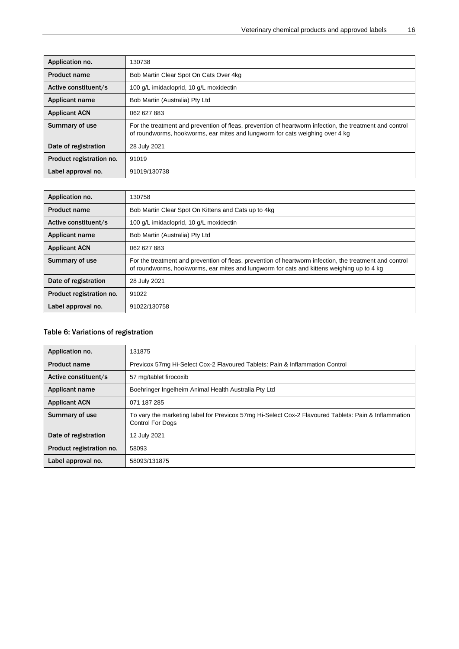| Application no.          | 130738                                                                                                                                                                                  |
|--------------------------|-----------------------------------------------------------------------------------------------------------------------------------------------------------------------------------------|
| <b>Product name</b>      | Bob Martin Clear Spot On Cats Over 4kg                                                                                                                                                  |
| Active constituent/s     | 100 g/L imidacloprid, 10 g/L moxidectin                                                                                                                                                 |
| <b>Applicant name</b>    | Bob Martin (Australia) Pty Ltd                                                                                                                                                          |
| <b>Applicant ACN</b>     | 062 627 883                                                                                                                                                                             |
| <b>Summary of use</b>    | For the treatment and prevention of fleas, prevention of heartworm infection, the treatment and control<br>of roundworms, hookworms, ear mites and lungworm for cats weighing over 4 kg |
| Date of registration     | 28 July 2021                                                                                                                                                                            |
| Product registration no. | 91019                                                                                                                                                                                   |
| Label approval no.       | 91019/130738                                                                                                                                                                            |

| Application no.          | 130758                                                                                                                                                                                               |
|--------------------------|------------------------------------------------------------------------------------------------------------------------------------------------------------------------------------------------------|
| <b>Product name</b>      | Bob Martin Clear Spot On Kittens and Cats up to 4kg                                                                                                                                                  |
| Active constituent/s     | 100 g/L imidacloprid, 10 g/L moxidectin                                                                                                                                                              |
| <b>Applicant name</b>    | Bob Martin (Australia) Pty Ltd                                                                                                                                                                       |
| <b>Applicant ACN</b>     | 062 627 883                                                                                                                                                                                          |
| Summary of use           | For the treatment and prevention of fleas, prevention of heartworm infection, the treatment and control<br>of roundworms, hookworms, ear mites and lungworm for cats and kittens weighing up to 4 kg |
| Date of registration     | 28 July 2021                                                                                                                                                                                         |
| Product registration no. | 91022                                                                                                                                                                                                |
| Label approval no.       | 91022/130758                                                                                                                                                                                         |

## <span id="page-19-0"></span>Table 6: Variations of registration

| Application no.          | 131875                                                                                                                          |
|--------------------------|---------------------------------------------------------------------------------------------------------------------------------|
| <b>Product name</b>      | Previcox 57mg Hi-Select Cox-2 Flavoured Tablets: Pain & Inflammation Control                                                    |
| Active constituent/s     | 57 mg/tablet firocoxib                                                                                                          |
| Applicant name           | Boehringer Ingelheim Animal Health Australia Pty Ltd                                                                            |
| <b>Applicant ACN</b>     | 071 187 285                                                                                                                     |
| Summary of use           | To vary the marketing label for Previcox 57mg Hi-Select Cox-2 Flavoured Tablets: Pain & Inflammation<br><b>Control For Dogs</b> |
| Date of registration     | 12 July 2021                                                                                                                    |
| Product registration no. | 58093                                                                                                                           |
| Label approval no.       | 58093/131875                                                                                                                    |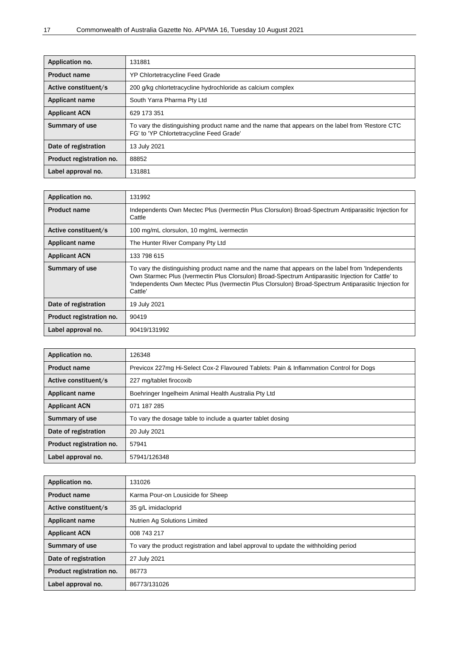| Application no.          | 131881                                                                                                                                       |
|--------------------------|----------------------------------------------------------------------------------------------------------------------------------------------|
| <b>Product name</b>      | <b>YP Chlortetracycline Feed Grade</b>                                                                                                       |
| Active constituent/s     | 200 g/kg chlortetracycline hydrochloride as calcium complex                                                                                  |
| Applicant name           | South Yarra Pharma Pty Ltd                                                                                                                   |
| <b>Applicant ACN</b>     | 629 173 351                                                                                                                                  |
| Summary of use           | To vary the distinguishing product name and the name that appears on the label from 'Restore CTC<br>FG' to 'YP Chlortetracycline Feed Grade' |
| Date of registration     | 13 July 2021                                                                                                                                 |
| Product registration no. | 88852                                                                                                                                        |
| Label approval no.       | 131881                                                                                                                                       |

| Application no.          | 131992                                                                                                                                                                                                                                                                                                                    |
|--------------------------|---------------------------------------------------------------------------------------------------------------------------------------------------------------------------------------------------------------------------------------------------------------------------------------------------------------------------|
| <b>Product name</b>      | Independents Own Mectec Plus (Ivermectin Plus Clorsulon) Broad-Spectrum Antiparasitic Injection for<br>Cattle                                                                                                                                                                                                             |
| Active constituent/s     | 100 mg/mL clorsulon, 10 mg/mL ivermectin                                                                                                                                                                                                                                                                                  |
| <b>Applicant name</b>    | The Hunter River Company Pty Ltd                                                                                                                                                                                                                                                                                          |
| <b>Applicant ACN</b>     | 133 798 615                                                                                                                                                                                                                                                                                                               |
| Summary of use           | To vary the distinguishing product name and the name that appears on the label from 'Independents<br>Own Starmec Plus (Ivermectin Plus Clorsulon) Broad-Spectrum Antiparasitic Injection for Cattle' to<br>Independents Own Mectec Plus (Ivermectin Plus Clorsulon) Broad-Spectrum Antiparasitic Injection for<br>Cattle' |
| Date of registration     | 19 July 2021                                                                                                                                                                                                                                                                                                              |
| Product registration no. | 90419                                                                                                                                                                                                                                                                                                                     |
| Label approval no.       | 90419/131992                                                                                                                                                                                                                                                                                                              |

| Application no.          | 126348                                                                                 |
|--------------------------|----------------------------------------------------------------------------------------|
| <b>Product name</b>      | Previcox 227mg Hi-Select Cox-2 Flavoured Tablets: Pain & Inflammation Control for Dogs |
| Active constituent/s     | 227 mg/tablet firocoxib                                                                |
| <b>Applicant name</b>    | Boehringer Ingelheim Animal Health Australia Pty Ltd                                   |
| <b>Applicant ACN</b>     | 071 187 285                                                                            |
| Summary of use           | To vary the dosage table to include a quarter tablet dosing                            |
| Date of registration     | 20 July 2021                                                                           |
| Product registration no. | 57941                                                                                  |
| Label approval no.       | 57941/126348                                                                           |

| Application no.          | 131026                                                                               |  |  |  |
|--------------------------|--------------------------------------------------------------------------------------|--|--|--|
| <b>Product name</b>      | Karma Pour-on Lousicide for Sheep                                                    |  |  |  |
| Active constituent/s     | 35 g/L imidacloprid                                                                  |  |  |  |
| <b>Applicant name</b>    | Nutrien Ag Solutions Limited                                                         |  |  |  |
| <b>Applicant ACN</b>     | 008 743 217                                                                          |  |  |  |
| Summary of use           | To vary the product registration and label approval to update the withholding period |  |  |  |
| Date of registration     | 27 July 2021                                                                         |  |  |  |
| Product registration no. | 86773                                                                                |  |  |  |
| Label approval no.       | 86773/131026                                                                         |  |  |  |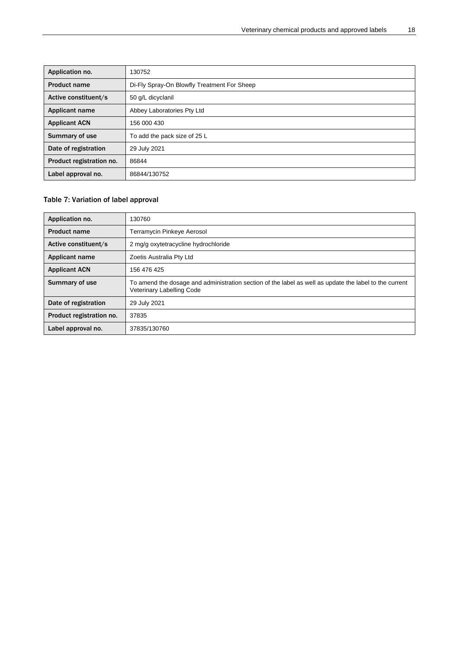| Application no.          | 130752                                      |  |  |  |  |
|--------------------------|---------------------------------------------|--|--|--|--|
| <b>Product name</b>      | Di-Fly Spray-On Blowfly Treatment For Sheep |  |  |  |  |
| Active constituent/s     | 50 g/L dicyclanil                           |  |  |  |  |
| Applicant name           | Abbey Laboratories Pty Ltd                  |  |  |  |  |
| <b>Applicant ACN</b>     | 156 000 430                                 |  |  |  |  |
| Summary of use           | To add the pack size of 25 L                |  |  |  |  |
| Date of registration     | 29 July 2021                                |  |  |  |  |
| Product registration no. | 86844                                       |  |  |  |  |
| Label approval no.       | 86844/130752                                |  |  |  |  |

## <span id="page-21-0"></span>Table 7: Variation of label approval

| Application no.          | 130760                                                                                                                              |  |  |  |
|--------------------------|-------------------------------------------------------------------------------------------------------------------------------------|--|--|--|
| <b>Product name</b>      | Terramycin Pinkeye Aerosol                                                                                                          |  |  |  |
| Active constituent/s     | 2 mg/g oxytetracycline hydrochloride                                                                                                |  |  |  |
| <b>Applicant name</b>    | Zoetis Australia Pty Ltd                                                                                                            |  |  |  |
| <b>Applicant ACN</b>     | 156 476 425                                                                                                                         |  |  |  |
| Summary of use           | To amend the dosage and administration section of the label as well as update the label to the current<br>Veterinary Labelling Code |  |  |  |
| Date of registration     | 29 July 2021                                                                                                                        |  |  |  |
| Product registration no. | 37835                                                                                                                               |  |  |  |
| Label approval no.       | 37835/130760                                                                                                                        |  |  |  |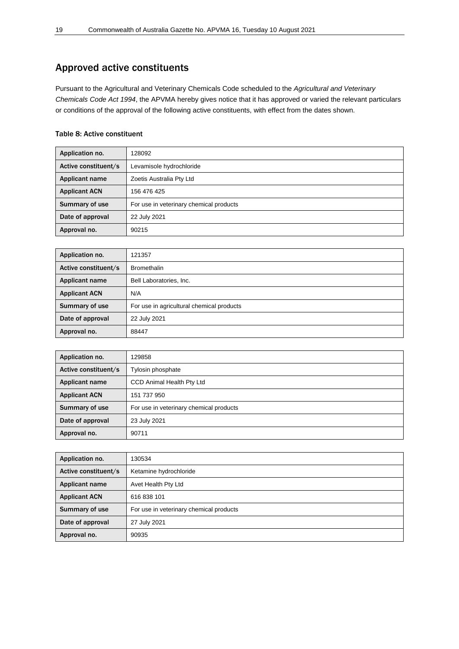## <span id="page-22-0"></span>Approved active constituents

Pursuant to the Agricultural and Veterinary Chemicals Code scheduled to the *Agricultural and Veterinary Chemicals Code Act 1994*, the APVMA hereby gives notice that it has approved or varied the relevant particulars or conditions of the approval of the following active constituents, with effect from the dates shown.

## <span id="page-22-1"></span>Table 8: Active constituent

| Application no.      | 128092                                  |  |  |  |
|----------------------|-----------------------------------------|--|--|--|
| Active constituent/s | Levamisole hydrochloride                |  |  |  |
| Applicant name       | Zoetis Australia Pty Ltd                |  |  |  |
| <b>Applicant ACN</b> | 156 476 425                             |  |  |  |
| Summary of use       | For use in veterinary chemical products |  |  |  |
| Date of approval     | 22 July 2021                            |  |  |  |
| Approval no.         | 90215                                   |  |  |  |

| Application no.      | 121357                                    |  |  |  |
|----------------------|-------------------------------------------|--|--|--|
| Active constituent/s | <b>Bromethalin</b>                        |  |  |  |
| Applicant name       | Bell Laboratories, Inc.                   |  |  |  |
| <b>Applicant ACN</b> | N/A                                       |  |  |  |
| Summary of use       | For use in agricultural chemical products |  |  |  |
| Date of approval     | 22 July 2021                              |  |  |  |
| Approval no.         | 88447                                     |  |  |  |

| Application no.      | 129858                                  |  |  |  |
|----------------------|-----------------------------------------|--|--|--|
| Active constituent/s | Tylosin phosphate                       |  |  |  |
| Applicant name       | <b>CCD Animal Health Pty Ltd</b>        |  |  |  |
| <b>Applicant ACN</b> | 151 737 950                             |  |  |  |
| Summary of use       | For use in veterinary chemical products |  |  |  |
| Date of approval     | 23 July 2021                            |  |  |  |
| Approval no.         | 90711                                   |  |  |  |

| Application no.      | 130534                                  |  |  |  |
|----------------------|-----------------------------------------|--|--|--|
| Active constituent/s | Ketamine hydrochloride                  |  |  |  |
| Applicant name       | Avet Health Pty Ltd                     |  |  |  |
| <b>Applicant ACN</b> | 616 838 101                             |  |  |  |
| Summary of use       | For use in veterinary chemical products |  |  |  |
| Date of approval     | 27 July 2021                            |  |  |  |
| Approval no.         | 90935                                   |  |  |  |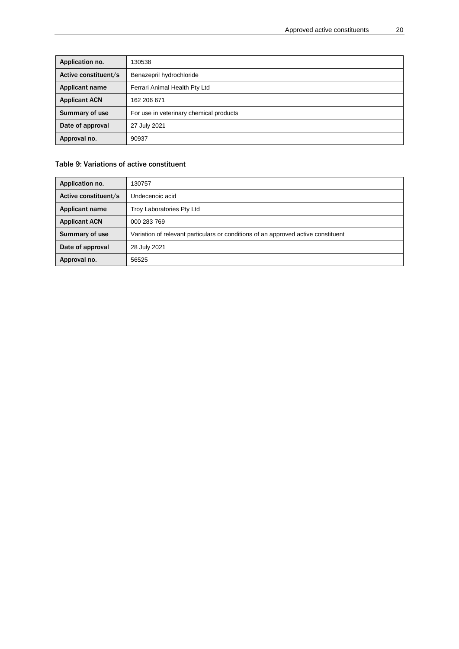| Application no.      | 130538                                  |  |  |  |
|----------------------|-----------------------------------------|--|--|--|
| Active constituent/s | Benazepril hydrochloride                |  |  |  |
| Applicant name       | Ferrari Animal Health Pty Ltd           |  |  |  |
| <b>Applicant ACN</b> | 162 206 671                             |  |  |  |
| Summary of use       | For use in veterinary chemical products |  |  |  |
| Date of approval     | 27 July 2021                            |  |  |  |
| Approval no.         | 90937                                   |  |  |  |

## <span id="page-23-0"></span>Table 9: Variations of active constituent

| Application no.       | 30757                                                                             |
|-----------------------|-----------------------------------------------------------------------------------|
| Active constituent/s  | Undecenoic acid                                                                   |
| <b>Applicant name</b> | Troy Laboratories Pty Ltd                                                         |
| <b>Applicant ACN</b>  | 000 283 769                                                                       |
| Summary of use        | Variation of relevant particulars or conditions of an approved active constituent |
| Date of approval      | 28 July 2021                                                                      |
| Approval no.          | 56525                                                                             |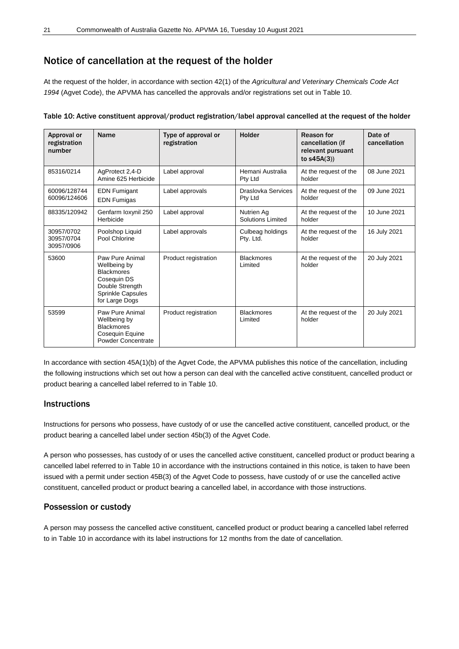## <span id="page-24-0"></span>Notice of cancellation at the request of the holder

At the request of the holder, in accordance with section 42(1) of the *Agricultural and Veterinary Chemicals Code Act 1994* (Agvet Code), the APVMA has cancelled the approvals and/or registrations set out in Table 10.

| Approval or<br>registration<br>number  | Name                                                                                                                                 | Type of approval or<br>registration | Holder                          | Reason for<br>cancellation (if<br>relevant pursuant<br>to $s45A(3)$ | Date of<br>cancellation |
|----------------------------------------|--------------------------------------------------------------------------------------------------------------------------------------|-------------------------------------|---------------------------------|---------------------------------------------------------------------|-------------------------|
| 85316/0214                             | AgProtect 2,4-D<br>Amine 625 Herbicide                                                                                               | Label approval                      | Hemani Australia<br>Pty Ltd     | At the request of the<br>holder                                     | 08 June 2021            |
| 60096/128744<br>60096/124606           | <b>EDN Fumigant</b><br><b>EDN Fumigas</b>                                                                                            | Label approvals                     | Draslovka Services<br>Pty Ltd   | At the request of the<br>holder                                     | 09 June 2021            |
| 88335/120942                           | Genfarm loxynil 250<br>Herbicide                                                                                                     | Label approval                      | Nutrien Ag<br>Solutions Limited | At the request of the<br>holder                                     | 10 June 2021            |
| 30957/0702<br>30957/0704<br>30957/0906 | Poolshop Liquid<br>Pool Chlorine                                                                                                     | Label approvals                     | Culbeag holdings<br>Pty. Ltd.   | At the request of the<br>holder                                     | 16 July 2021            |
| 53600                                  | Paw Pure Animal<br>Wellbeing by<br><b>Blackmores</b><br>Cosequin DS<br>Double Strength<br><b>Sprinkle Capsules</b><br>for Large Dogs | Product registration                | <b>Blackmores</b><br>Limited    | At the request of the<br>holder                                     | 20 July 2021            |
| 53599                                  | Paw Pure Animal<br>Wellbeing by<br><b>Blackmores</b><br>Coseguin Equine<br>Powder Concentrate                                        | Product registration                | <b>Blackmores</b><br>Limited    | At the request of the<br>holder                                     | 20 July 2021            |

<span id="page-24-1"></span>Table 10: Active constituent approval/product registration/label approval cancelled at the request of the holder

In accordance with section 45A(1)(b) of the Agvet Code, the APVMA publishes this notice of the cancellation, including the following instructions which set out how a person can deal with the cancelled active constituent, cancelled product or product bearing a cancelled label referred to in Table 10.

## **Instructions**

Instructions for persons who possess, have custody of or use the cancelled active constituent, cancelled product, or the product bearing a cancelled label under section 45b(3) of the Agvet Code.

A person who possesses, has custody of or uses the cancelled active constituent, cancelled product or product bearing a cancelled label referred to in Table 10 in accordance with the instructions contained in this notice, is taken to have been issued with a permit under section 45B(3) of the Agvet Code to possess, have custody of or use the cancelled active constituent, cancelled product or product bearing a cancelled label, in accordance with those instructions.

## Possession or custody

A person may possess the cancelled active constituent, cancelled product or product bearing a cancelled label referred to in Table 10 in accordance with its label instructions for 12 months from the date of cancellation.